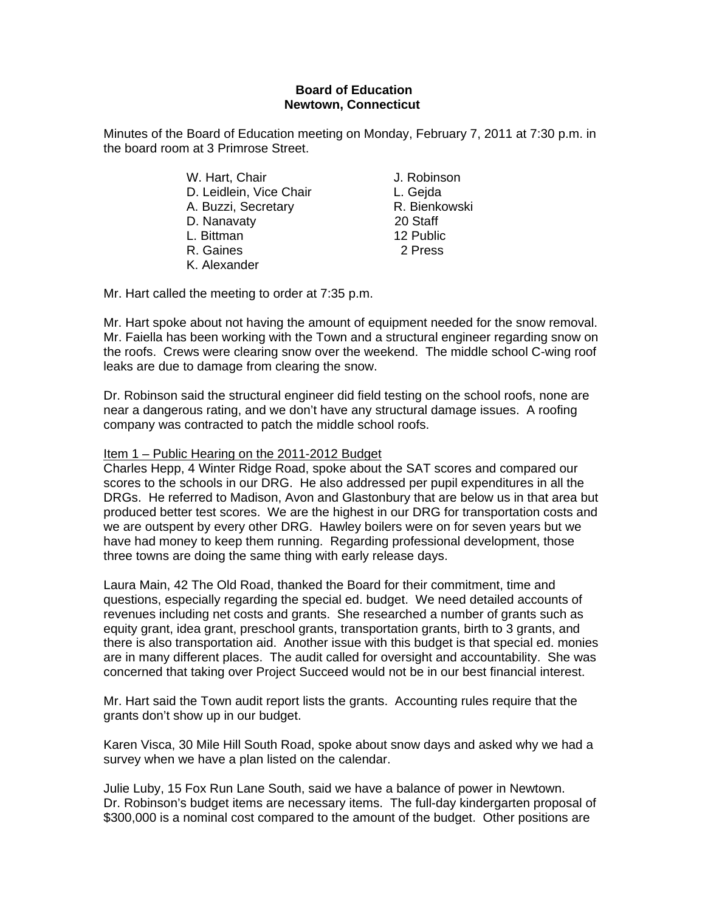## **Board of Education Newtown, Connecticut**

Minutes of the Board of Education meeting on Monday, February 7, 2011 at 7:30 p.m. in the board room at 3 Primrose Street.

|  | W. Hart, Chair          | J. Robins |
|--|-------------------------|-----------|
|  | D. Leidlein, Vice Chair | L. Gejda  |
|  | A. Buzzi, Secretary     | R. Bienko |
|  | D. Nanavaty             | 20 Staff  |
|  | L. Bittman              | 12 Public |
|  | R. Gaines               | 2 Press   |
|  | K. Alexander            |           |

J. Robinson L. Geida R. Bienkowski 20 Staff 12 Public

Mr. Hart called the meeting to order at 7:35 p.m.

Mr. Hart spoke about not having the amount of equipment needed for the snow removal. Mr. Faiella has been working with the Town and a structural engineer regarding snow on the roofs. Crews were clearing snow over the weekend. The middle school C-wing roof leaks are due to damage from clearing the snow.

Dr. Robinson said the structural engineer did field testing on the school roofs, none are near a dangerous rating, and we don't have any structural damage issues. A roofing company was contracted to patch the middle school roofs.

## Item 1 – Public Hearing on the 2011-2012 Budget

Charles Hepp, 4 Winter Ridge Road, spoke about the SAT scores and compared our scores to the schools in our DRG. He also addressed per pupil expenditures in all the DRGs. He referred to Madison, Avon and Glastonbury that are below us in that area but produced better test scores. We are the highest in our DRG for transportation costs and we are outspent by every other DRG. Hawley boilers were on for seven years but we have had money to keep them running. Regarding professional development, those three towns are doing the same thing with early release days.

Laura Main, 42 The Old Road, thanked the Board for their commitment, time and questions, especially regarding the special ed. budget. We need detailed accounts of revenues including net costs and grants. She researched a number of grants such as equity grant, idea grant, preschool grants, transportation grants, birth to 3 grants, and there is also transportation aid. Another issue with this budget is that special ed. monies are in many different places. The audit called for oversight and accountability. She was concerned that taking over Project Succeed would not be in our best financial interest.

Mr. Hart said the Town audit report lists the grants. Accounting rules require that the grants don't show up in our budget.

Karen Visca, 30 Mile Hill South Road, spoke about snow days and asked why we had a survey when we have a plan listed on the calendar.

Julie Luby, 15 Fox Run Lane South, said we have a balance of power in Newtown. Dr. Robinson's budget items are necessary items. The full-day kindergarten proposal of \$300,000 is a nominal cost compared to the amount of the budget. Other positions are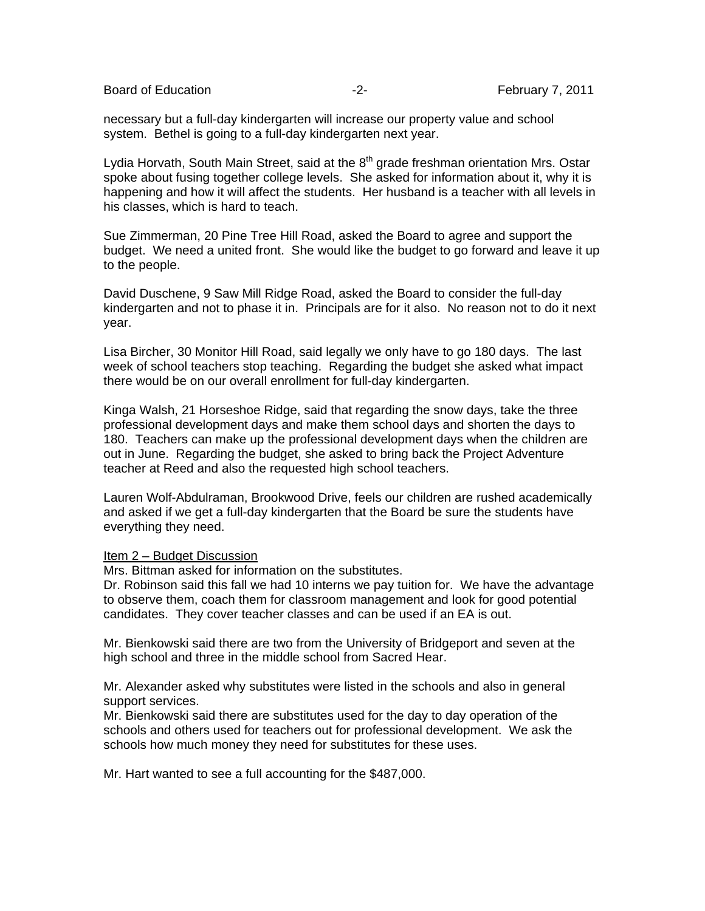Board of Education **-2-** February 7, 2011

necessary but a full-day kindergarten will increase our property value and school system. Bethel is going to a full-day kindergarten next year.

Lydia Horvath, South Main Street, said at the 8<sup>th</sup> grade freshman orientation Mrs. Ostar spoke about fusing together college levels. She asked for information about it, why it is happening and how it will affect the students. Her husband is a teacher with all levels in his classes, which is hard to teach.

Sue Zimmerman, 20 Pine Tree Hill Road, asked the Board to agree and support the budget. We need a united front. She would like the budget to go forward and leave it up to the people.

David Duschene, 9 Saw Mill Ridge Road, asked the Board to consider the full-day kindergarten and not to phase it in. Principals are for it also. No reason not to do it next year.

Lisa Bircher, 30 Monitor Hill Road, said legally we only have to go 180 days. The last week of school teachers stop teaching. Regarding the budget she asked what impact there would be on our overall enrollment for full-day kindergarten.

Kinga Walsh, 21 Horseshoe Ridge, said that regarding the snow days, take the three professional development days and make them school days and shorten the days to 180. Teachers can make up the professional development days when the children are out in June. Regarding the budget, she asked to bring back the Project Adventure teacher at Reed and also the requested high school teachers.

Lauren Wolf-Abdulraman, Brookwood Drive, feels our children are rushed academically and asked if we get a full-day kindergarten that the Board be sure the students have everything they need.

## Item 2 – Budget Discussion

Mrs. Bittman asked for information on the substitutes.

Dr. Robinson said this fall we had 10 interns we pay tuition for. We have the advantage to observe them, coach them for classroom management and look for good potential candidates. They cover teacher classes and can be used if an EA is out.

Mr. Bienkowski said there are two from the University of Bridgeport and seven at the high school and three in the middle school from Sacred Hear.

Mr. Alexander asked why substitutes were listed in the schools and also in general support services.

Mr. Bienkowski said there are substitutes used for the day to day operation of the schools and others used for teachers out for professional development. We ask the schools how much money they need for substitutes for these uses.

Mr. Hart wanted to see a full accounting for the \$487,000.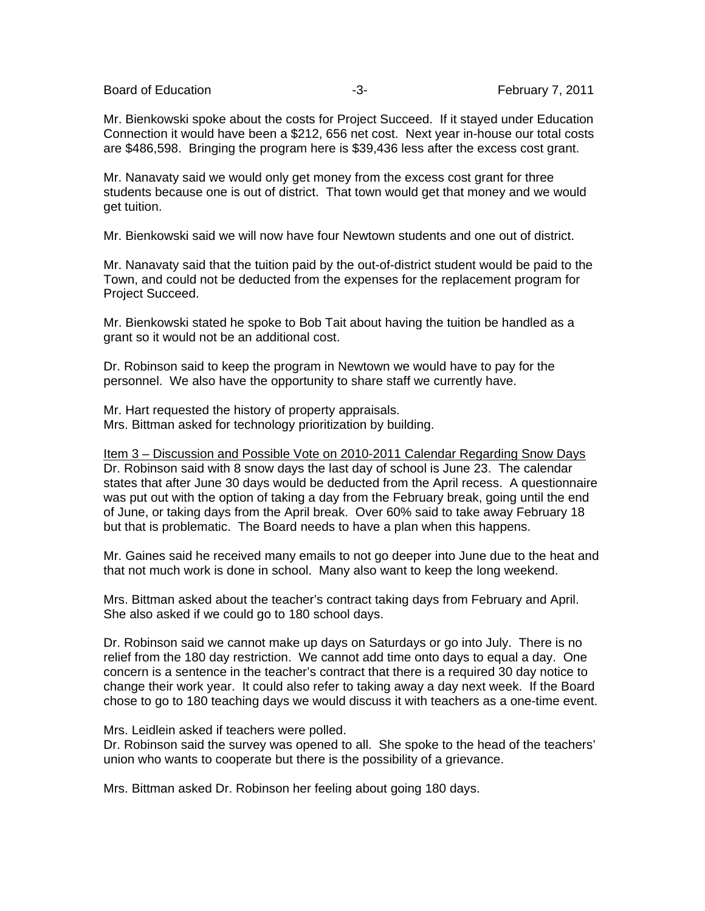Board of Education **-3-** February 7, 2011

Mr. Bienkowski spoke about the costs for Project Succeed. If it stayed under Education Connection it would have been a \$212, 656 net cost. Next year in-house our total costs are \$486,598. Bringing the program here is \$39,436 less after the excess cost grant.

Mr. Nanavaty said we would only get money from the excess cost grant for three students because one is out of district. That town would get that money and we would get tuition.

Mr. Bienkowski said we will now have four Newtown students and one out of district.

Mr. Nanavaty said that the tuition paid by the out-of-district student would be paid to the Town, and could not be deducted from the expenses for the replacement program for Project Succeed.

Mr. Bienkowski stated he spoke to Bob Tait about having the tuition be handled as a grant so it would not be an additional cost.

Dr. Robinson said to keep the program in Newtown we would have to pay for the personnel. We also have the opportunity to share staff we currently have.

Mr. Hart requested the history of property appraisals. Mrs. Bittman asked for technology prioritization by building.

Item 3 – Discussion and Possible Vote on 2010-2011 Calendar Regarding Snow Days Dr. Robinson said with 8 snow days the last day of school is June 23. The calendar states that after June 30 days would be deducted from the April recess. A questionnaire was put out with the option of taking a day from the February break, going until the end of June, or taking days from the April break. Over 60% said to take away February 18 but that is problematic. The Board needs to have a plan when this happens.

Mr. Gaines said he received many emails to not go deeper into June due to the heat and that not much work is done in school. Many also want to keep the long weekend.

Mrs. Bittman asked about the teacher's contract taking days from February and April. She also asked if we could go to 180 school days.

Dr. Robinson said we cannot make up days on Saturdays or go into July. There is no relief from the 180 day restriction. We cannot add time onto days to equal a day. One concern is a sentence in the teacher's contract that there is a required 30 day notice to change their work year. It could also refer to taking away a day next week. If the Board chose to go to 180 teaching days we would discuss it with teachers as a one-time event.

Mrs. Leidlein asked if teachers were polled.

Dr. Robinson said the survey was opened to all. She spoke to the head of the teachers' union who wants to cooperate but there is the possibility of a grievance.

Mrs. Bittman asked Dr. Robinson her feeling about going 180 days.